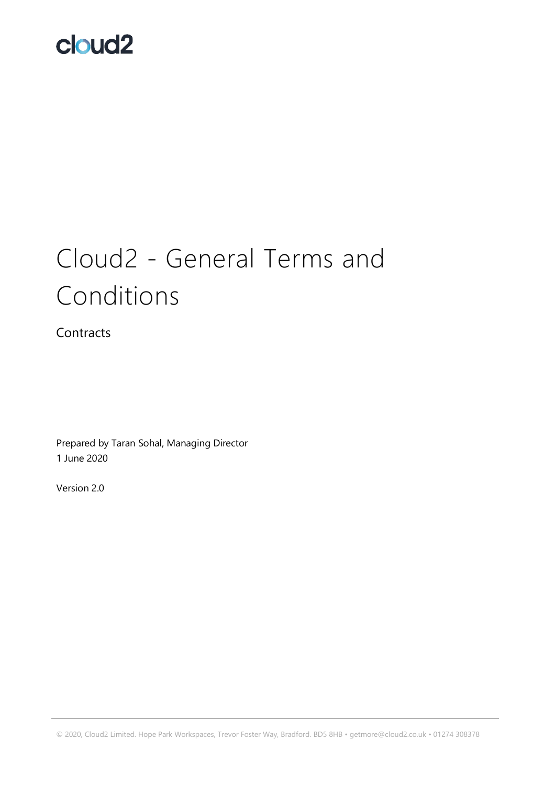# Cloud2 - General Terms and Conditions

**Contracts** 

Prepared by Taran Sohal, Managing Director 1 June 2020

Version 2.0

© 2020, Cloud2 Limited. Hope Park Workspaces, Trevor Foster Way, Bradford. BD5 8HB • getmore@cloud2.co.uk • 01274 308378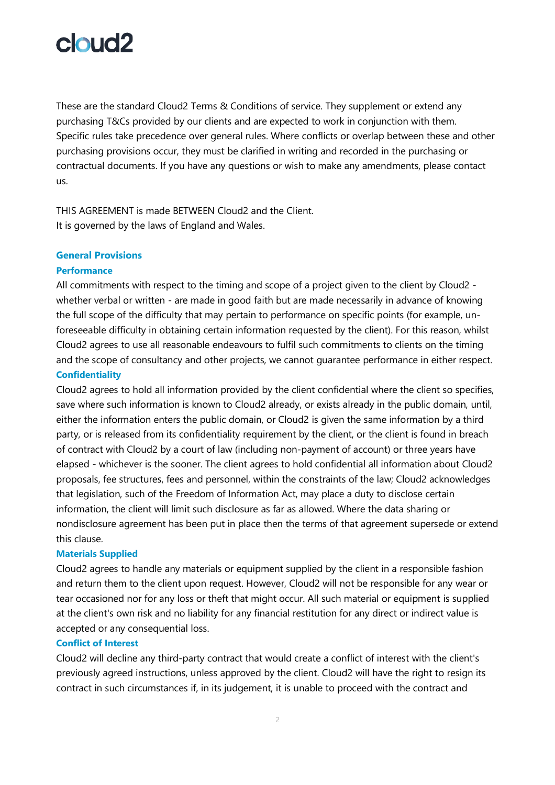

These are the standard Cloud2 Terms & Conditions of service. They supplement or extend any purchasing T&Cs provided by our clients and are expected to work in conjunction with them. Specific rules take precedence over general rules. Where conflicts or overlap between these and other purchasing provisions occur, they must be clarified in writing and recorded in the purchasing or contractual documents. If you have any questions or wish to make any amendments, please contact us.

THIS AGREEMENT is made BETWEEN Cloud2 and the Client. It is governed by the laws of England and Wales.

#### **General Provisions**

#### **Performance**

All commitments with respect to the timing and scope of a project given to the client by Cloud2 whether verbal or written - are made in good faith but are made necessarily in advance of knowing the full scope of the difficulty that may pertain to performance on specific points (for example, unforeseeable difficulty in obtaining certain information requested by the client). For this reason, whilst Cloud2 agrees to use all reasonable endeavours to fulfil such commitments to clients on the timing and the scope of consultancy and other projects, we cannot guarantee performance in either respect.

### **Confidentiality**

Cloud2 agrees to hold all information provided by the client confidential where the client so specifies, save where such information is known to Cloud2 already, or exists already in the public domain, until, either the information enters the public domain, or Cloud2 is given the same information by a third party, or is released from its confidentiality requirement by the client, or the client is found in breach of contract with Cloud2 by a court of law (including non-payment of account) or three years have elapsed - whichever is the sooner. The client agrees to hold confidential all information about Cloud2 proposals, fee structures, fees and personnel, within the constraints of the law; Cloud2 acknowledges that legislation, such of the Freedom of Information Act, may place a duty to disclose certain information, the client will limit such disclosure as far as allowed. Where the data sharing or nondisclosure agreement has been put in place then the terms of that agreement supersede or extend this clause.

#### **Materials Supplied**

Cloud2 agrees to handle any materials or equipment supplied by the client in a responsible fashion and return them to the client upon request. However, Cloud2 will not be responsible for any wear or tear occasioned nor for any loss or theft that might occur. All such material or equipment is supplied at the client's own risk and no liability for any financial restitution for any direct or indirect value is accepted or any consequential loss.

#### **Conflict of Interest**

Cloud2 will decline any third-party contract that would create a conflict of interest with the client's previously agreed instructions, unless approved by the client. Cloud2 will have the right to resign its contract in such circumstances if, in its judgement, it is unable to proceed with the contract and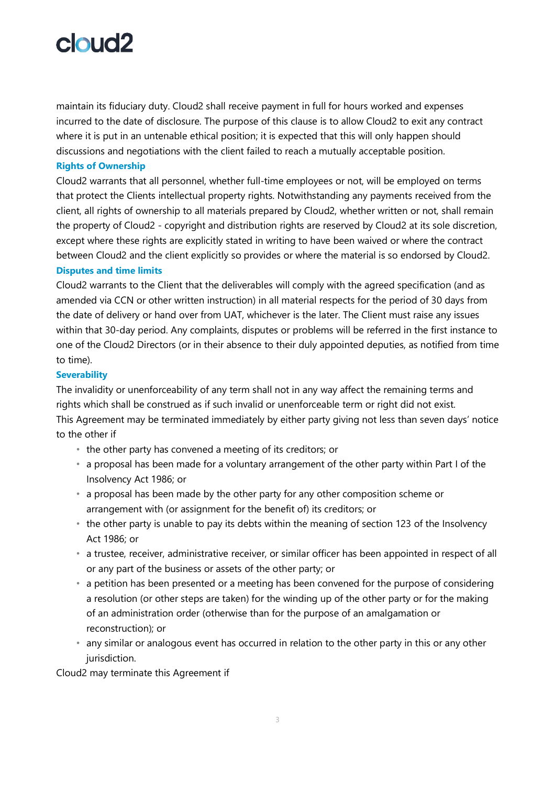maintain its fiduciary duty. Cloud2 shall receive payment in full for hours worked and expenses incurred to the date of disclosure. The purpose of this clause is to allow Cloud2 to exit any contract where it is put in an untenable ethical position; it is expected that this will only happen should discussions and negotiations with the client failed to reach a mutually acceptable position.

## **Rights of Ownership**

Cloud2 warrants that all personnel, whether full-time employees or not, will be employed on terms that protect the Clients intellectual property rights. Notwithstanding any payments received from the client, all rights of ownership to all materials prepared by Cloud2, whether written or not, shall remain the property of Cloud2 - copyright and distribution rights are reserved by Cloud2 at its sole discretion, except where these rights are explicitly stated in writing to have been waived or where the contract between Cloud2 and the client explicitly so provides or where the material is so endorsed by Cloud2.

## **Disputes and time limits**

Cloud2 warrants to the Client that the deliverables will comply with the agreed specification (and as amended via CCN or other written instruction) in all material respects for the period of 30 days from the date of delivery or hand over from UAT, whichever is the later. The Client must raise any issues within that 30-day period. Any complaints, disputes or problems will be referred in the first instance to one of the Cloud2 Directors (or in their absence to their duly appointed deputies, as notified from time to time).

## **Severability**

The invalidity or unenforceability of any term shall not in any way affect the remaining terms and rights which shall be construed as if such invalid or unenforceable term or right did not exist. This Agreement may be terminated immediately by either party giving not less than seven days' notice to the other if

- the other party has convened a meeting of its creditors; or
- a proposal has been made for a voluntary arrangement of the other party within Part I of the Insolvency Act 1986; or
- a proposal has been made by the other party for any other composition scheme or arrangement with (or assignment for the benefit of) its creditors; or
- the other party is unable to pay its debts within the meaning of section 123 of the Insolvency Act 1986; or
- a trustee, receiver, administrative receiver, or similar officer has been appointed in respect of all or any part of the business or assets of the other party; or
- a petition has been presented or a meeting has been convened for the purpose of considering a resolution (or other steps are taken) for the winding up of the other party or for the making of an administration order (otherwise than for the purpose of an amalgamation or reconstruction); or
- any similar or analogous event has occurred in relation to the other party in this or any other jurisdiction.

Cloud2 may terminate this Agreement if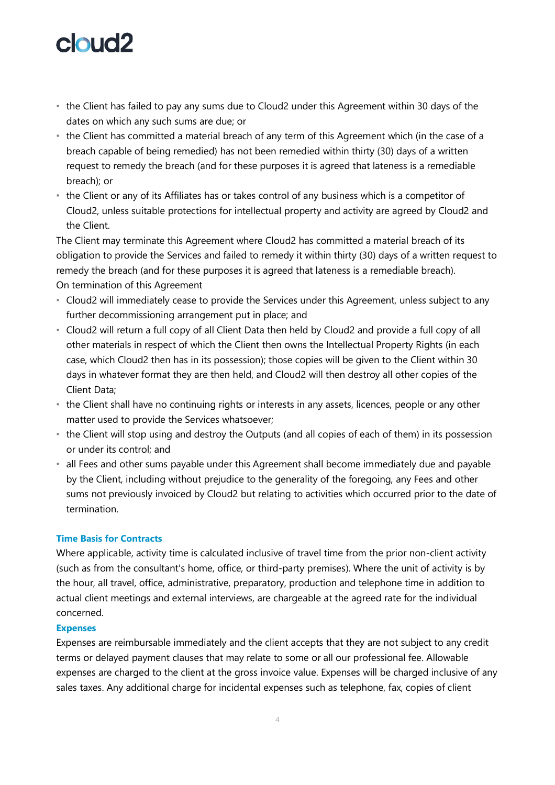- the Client has failed to pay any sums due to Cloud2 under this Agreement within 30 days of the dates on which any such sums are due; or
- the Client has committed a material breach of any term of this Agreement which (in the case of a breach capable of being remedied) has not been remedied within thirty (30) days of a written request to remedy the breach (and for these purposes it is agreed that lateness is a remediable breach); or
- the Client or any of its Affiliates has or takes control of any business which is a competitor of Cloud2, unless suitable protections for intellectual property and activity are agreed by Cloud2 and the Client.

The Client may terminate this Agreement where Cloud2 has committed a material breach of its obligation to provide the Services and failed to remedy it within thirty (30) days of a written request to remedy the breach (and for these purposes it is agreed that lateness is a remediable breach). On termination of this Agreement

- Cloud2 will immediately cease to provide the Services under this Agreement, unless subject to any further decommissioning arrangement put in place; and
- Cloud2 will return a full copy of all Client Data then held by Cloud2 and provide a full copy of all other materials in respect of which the Client then owns the Intellectual Property Rights (in each case, which Cloud2 then has in its possession); those copies will be given to the Client within 30 days in whatever format they are then held, and Cloud2 will then destroy all other copies of the Client Data;
- the Client shall have no continuing rights or interests in any assets, licences, people or any other matter used to provide the Services whatsoever;
- the Client will stop using and destroy the Outputs (and all copies of each of them) in its possession or under its control; and
- all Fees and other sums payable under this Agreement shall become immediately due and payable by the Client, including without prejudice to the generality of the foregoing, any Fees and other sums not previously invoiced by Cloud2 but relating to activities which occurred prior to the date of termination.

## **Time Basis for Contracts**

Where applicable, activity time is calculated inclusive of travel time from the prior non-client activity (such as from the consultant's home, office, or third-party premises). Where the unit of activity is by the hour, all travel, office, administrative, preparatory, production and telephone time in addition to actual client meetings and external interviews, are chargeable at the agreed rate for the individual concerned.

### **Expenses**

Expenses are reimbursable immediately and the client accepts that they are not subject to any credit terms or delayed payment clauses that may relate to some or all our professional fee. Allowable expenses are charged to the client at the gross invoice value. Expenses will be charged inclusive of any sales taxes. Any additional charge for incidental expenses such as telephone, fax, copies of client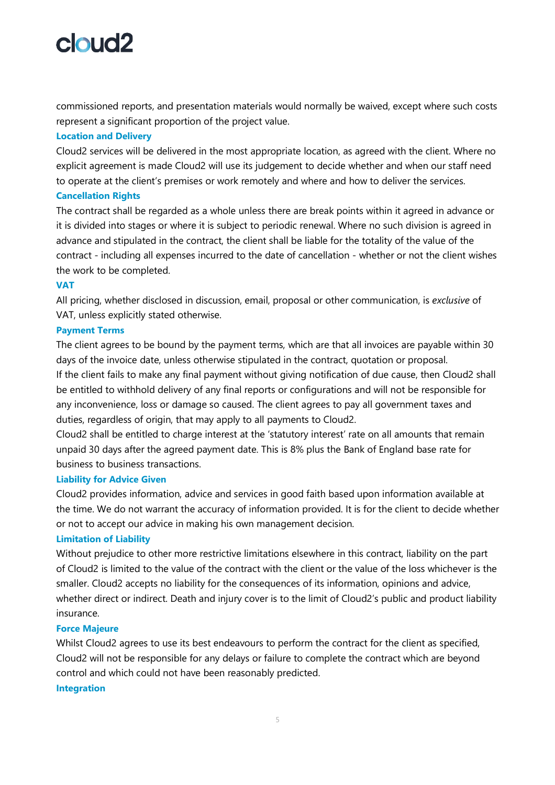commissioned reports, and presentation materials would normally be waived, except where such costs represent a significant proportion of the project value.

## **Location and Delivery**

Cloud2 services will be delivered in the most appropriate location, as agreed with the client. Where no explicit agreement is made Cloud2 will use its judgement to decide whether and when our staff need to operate at the client's premises or work remotely and where and how to deliver the services. **Cancellation Rights**

The contract shall be regarded as a whole unless there are break points within it agreed in advance or it is divided into stages or where it is subject to periodic renewal. Where no such division is agreed in advance and stipulated in the contract, the client shall be liable for the totality of the value of the contract - including all expenses incurred to the date of cancellation - whether or not the client wishes the work to be completed.

## **VAT**

All pricing, whether disclosed in discussion, email, proposal or other communication, is *exclusive* of VAT, unless explicitly stated otherwise.

## **Payment Terms**

The client agrees to be bound by the payment terms, which are that all invoices are payable within 30 days of the invoice date, unless otherwise stipulated in the contract, quotation or proposal. If the client fails to make any final payment without giving notification of due cause, then Cloud2 shall be entitled to withhold delivery of any final reports or configurations and will not be responsible for any inconvenience, loss or damage so caused. The client agrees to pay all government taxes and duties, regardless of origin, that may apply to all payments to Cloud2.

Cloud2 shall be entitled to charge interest at the 'statutory interest' rate on all amounts that remain unpaid 30 days after the agreed payment date. This is 8% plus the Bank of England base rate for business to business transactions.

### **Liability for Advice Given**

Cloud2 provides information, advice and services in good faith based upon information available at the time. We do not warrant the accuracy of information provided. It is for the client to decide whether or not to accept our advice in making his own management decision.

## **Limitation of Liability**

Without prejudice to other more restrictive limitations elsewhere in this contract, liability on the part of Cloud2 is limited to the value of the contract with the client or the value of the loss whichever is the smaller. Cloud2 accepts no liability for the consequences of its information, opinions and advice, whether direct or indirect. Death and injury cover is to the limit of Cloud2's public and product liability insurance.

## **Force Majeure**

Whilst Cloud2 agrees to use its best endeavours to perform the contract for the client as specified, Cloud2 will not be responsible for any delays or failure to complete the contract which are beyond control and which could not have been reasonably predicted. **Integration**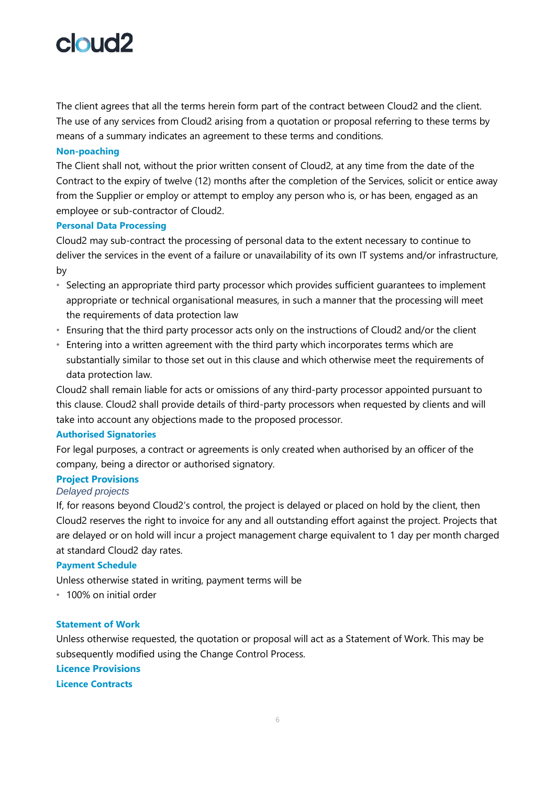The client agrees that all the terms herein form part of the contract between Cloud2 and the client. The use of any services from Cloud2 arising from a quotation or proposal referring to these terms by means of a summary indicates an agreement to these terms and conditions.

## **Non-poaching**

The Client shall not, without the prior written consent of Cloud2, at any time from the date of the Contract to the expiry of twelve (12) months after the completion of the Services, solicit or entice away from the Supplier or employ or attempt to employ any person who is, or has been, engaged as an employee or sub-contractor of Cloud2.

## **Personal Data Processing**

Cloud2 may sub-contract the processing of personal data to the extent necessary to continue to deliver the services in the event of a failure or unavailability of its own IT systems and/or infrastructure, by

- Selecting an appropriate third party processor which provides sufficient guarantees to implement appropriate or technical organisational measures, in such a manner that the processing will meet the requirements of data protection law
- Ensuring that the third party processor acts only on the instructions of Cloud2 and/or the client
- Entering into a written agreement with the third party which incorporates terms which are substantially similar to those set out in this clause and which otherwise meet the requirements of data protection law.

Cloud2 shall remain liable for acts or omissions of any third-party processor appointed pursuant to this clause. Cloud2 shall provide details of third-party processors when requested by clients and will take into account any objections made to the proposed processor.

## **Authorised Signatories**

For legal purposes, a contract or agreements is only created when authorised by an officer of the company, being a director or authorised signatory.

## **Project Provisions**

## *Delayed projects*

If, for reasons beyond Cloud2's control, the project is delayed or placed on hold by the client, then Cloud2 reserves the right to invoice for any and all outstanding effort against the project. Projects that are delayed or on hold will incur a project management charge equivalent to 1 day per month charged at standard Cloud2 day rates.

## **Payment Schedule**

Unless otherwise stated in writing, payment terms will be

• 100% on initial order

## **Statement of Work**

Unless otherwise requested, the quotation or proposal will act as a Statement of Work. This may be subsequently modified using the Change Control Process.

**Licence Provisions Licence Contracts**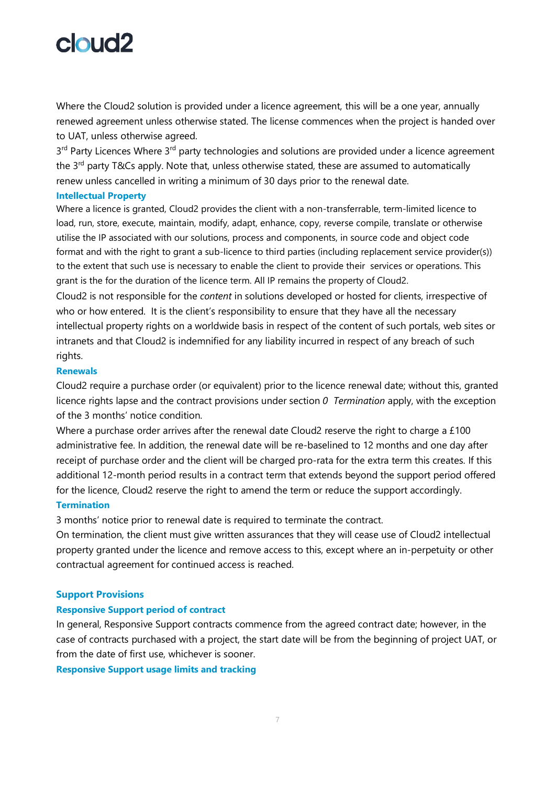Where the Cloud2 solution is provided under a licence agreement, this will be a one year, annually renewed agreement unless otherwise stated. The license commences when the project is handed over to UAT, unless otherwise agreed.

3<sup>rd</sup> Party Licences Where 3<sup>rd</sup> party technologies and solutions are provided under a licence agreement the 3<sup>rd</sup> party T&Cs apply. Note that, unless otherwise stated, these are assumed to automatically renew unless cancelled in writing a minimum of 30 days prior to the renewal date.

### **Intellectual Property**

Where a licence is granted, Cloud2 provides the client with a non-transferrable, term-limited licence to load, run, store, execute, maintain, modify, adapt, enhance, copy, reverse compile, translate or otherwise utilise the IP associated with our solutions, process and components, in source code and object code format and with the right to grant a sub-licence to third parties (including replacement service provider(s)) to the extent that such use is necessary to enable the client to provide their services or operations. This grant is the for the duration of the licence term. All IP remains the property of Cloud2.

Cloud2 is not responsible for the *content* in solutions developed or hosted for clients, irrespective of who or how entered. It is the client's responsibility to ensure that they have all the necessary intellectual property rights on a worldwide basis in respect of the content of such portals, web sites or intranets and that Cloud2 is indemnified for any liability incurred in respect of any breach of such rights.

## **Renewals**

Cloud2 require a purchase order (or equivalent) prior to the licence renewal date; without this, granted licence rights lapse and the contract provisions under section *[0 Termination](#page-6-0)* apply, with the exception of the 3 months' notice condition.

Where a purchase order arrives after the renewal date Cloud2 reserve the right to charge a £100 administrative fee. In addition, the renewal date will be re-baselined to 12 months and one day after receipt of purchase order and the client will be charged pro-rata for the extra term this creates. If this additional 12-month period results in a contract term that extends beyond the support period offered for the licence, Cloud2 reserve the right to amend the term or reduce the support accordingly.

## <span id="page-6-0"></span>**Termination**

3 months' notice prior to renewal date is required to terminate the contract.

On termination, the client must give written assurances that they will cease use of Cloud2 intellectual property granted under the licence and remove access to this, except where an in-perpetuity or other contractual agreement for continued access is reached.

### **Support Provisions**

### **Responsive Support period of contract**

In general, Responsive Support contracts commence from the agreed contract date; however, in the case of contracts purchased with a project, the start date will be from the beginning of project UAT, or from the date of first use, whichever is sooner.

**Responsive Support usage limits and tracking**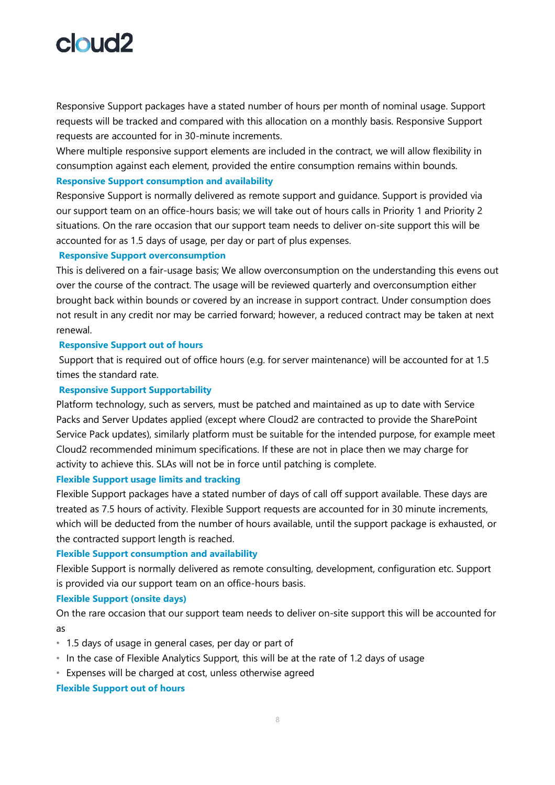Responsive Support packages have a stated number of hours per month of nominal usage. Support requests will be tracked and compared with this allocation on a monthly basis. Responsive Support requests are accounted for in 30-minute increments.

Where multiple responsive support elements are included in the contract, we will allow flexibility in consumption against each element, provided the entire consumption remains within bounds.

### **Responsive Support consumption and availability**

Responsive Support is normally delivered as remote support and guidance. Support is provided via our support team on an office-hours basis; we will take out of hours calls in Priority 1 and Priority 2 situations. On the rare occasion that our support team needs to deliver on-site support this will be accounted for as 1.5 days of usage, per day or part of plus expenses.

## **Responsive Support overconsumption**

This is delivered on a fair-usage basis; We allow overconsumption on the understanding this evens out over the course of the contract. The usage will be reviewed quarterly and overconsumption either brought back within bounds or covered by an increase in support contract. Under consumption does not result in any credit nor may be carried forward; however, a reduced contract may be taken at next renewal.

## **Responsive Support out of hours**

Support that is required out of office hours (e.g. for server maintenance) will be accounted for at 1.5 times the standard rate.

## **Responsive Support Supportability**

Platform technology, such as servers, must be patched and maintained as up to date with Service Packs and Server Updates applied (except where Cloud2 are contracted to provide the SharePoint Service Pack updates), similarly platform must be suitable for the intended purpose, for example meet Cloud2 recommended minimum specifications. If these are not in place then we may charge for activity to achieve this. SLAs will not be in force until patching is complete.

### **Flexible Support usage limits and tracking**

Flexible Support packages have a stated number of days of call off support available. These days are treated as 7.5 hours of activity. Flexible Support requests are accounted for in 30 minute increments, which will be deducted from the number of hours available, until the support package is exhausted, or the contracted support length is reached.

## **Flexible Support consumption and availability**

Flexible Support is normally delivered as remote consulting, development, configuration etc. Support is provided via our support team on an office-hours basis.

### **Flexible Support (onsite days)**

On the rare occasion that our support team needs to deliver on-site support this will be accounted for as

- 1.5 days of usage in general cases, per day or part of
- In the case of Flexible Analytics Support, this will be at the rate of 1.2 days of usage
- Expenses will be charged at cost, unless otherwise agreed

## **Flexible Support out of hours**